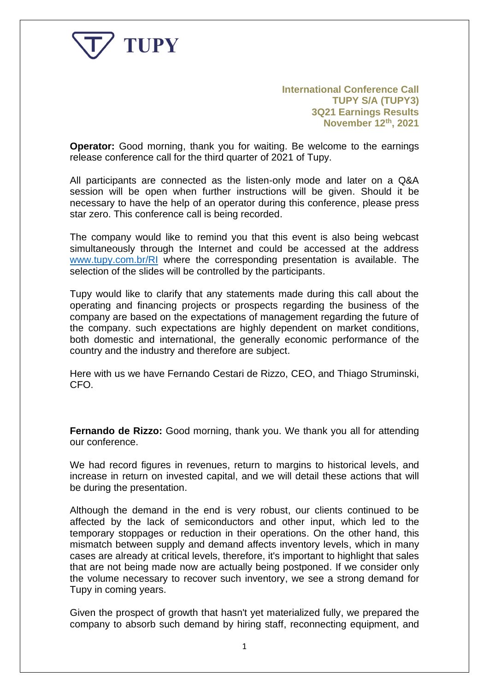

**International Conference Call TUPY S/A (TUPY3) 3Q21 Earnings Results November 12th, 2021**

**Operator:** Good morning, thank you for waiting. Be welcome to the earnings release conference call for the third quarter of 2021 of Tupy.

All participants are connected as the listen-only mode and later on a Q&A session will be open when further instructions will be given. Should it be necessary to have the help of an operator during this conference, please press star zero. This conference call is being recorded.

The company would like to remind you that this event is also being webcast simultaneously through the Internet and could be accessed at the address [www.tupy.com.br/RI](http://www.tupy.com.br/RI) where the corresponding presentation is available. The selection of the slides will be controlled by the participants.

Tupy would like to clarify that any statements made during this call about the operating and financing projects or prospects regarding the business of the company are based on the expectations of management regarding the future of the company. such expectations are highly dependent on market conditions, both domestic and international, the generally economic performance of the country and the industry and therefore are subject.

Here with us we have Fernando Cestari de Rizzo, CEO, and Thiago Struminski, CFO.

**Fernando de Rizzo:** Good morning, thank you. We thank you all for attending our conference.

We had record figures in revenues, return to margins to historical levels, and increase in return on invested capital, and we will detail these actions that will be during the presentation.

Although the demand in the end is very robust, our clients continued to be affected by the lack of semiconductors and other input, which led to the temporary stoppages or reduction in their operations. On the other hand, this mismatch between supply and demand affects inventory levels, which in many cases are already at critical levels, therefore, it's important to highlight that sales that are not being made now are actually being postponed. If we consider only the volume necessary to recover such inventory, we see a strong demand for Tupy in coming years.

Given the prospect of growth that hasn't yet materialized fully, we prepared the company to absorb such demand by hiring staff, reconnecting equipment, and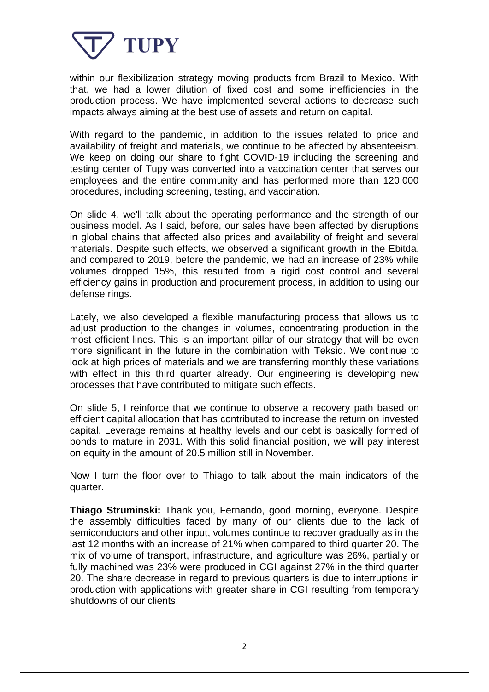

within our flexibilization strategy moving products from Brazil to Mexico. With that, we had a lower dilution of fixed cost and some inefficiencies in the production process. We have implemented several actions to decrease such impacts always aiming at the best use of assets and return on capital.

With regard to the pandemic, in addition to the issues related to price and availability of freight and materials, we continue to be affected by absenteeism. We keep on doing our share to fight COVID-19 including the screening and testing center of Tupy was converted into a vaccination center that serves our employees and the entire community and has performed more than 120,000 procedures, including screening, testing, and vaccination.

On slide 4, we'll talk about the operating performance and the strength of our business model. As I said, before, our sales have been affected by disruptions in global chains that affected also prices and availability of freight and several materials. Despite such effects, we observed a significant growth in the Ebitda, and compared to 2019, before the pandemic, we had an increase of 23% while volumes dropped 15%, this resulted from a rigid cost control and several efficiency gains in production and procurement process, in addition to using our defense rings.

Lately, we also developed a flexible manufacturing process that allows us to adjust production to the changes in volumes, concentrating production in the most efficient lines. This is an important pillar of our strategy that will be even more significant in the future in the combination with Teksid. We continue to look at high prices of materials and we are transferring monthly these variations with effect in this third quarter already. Our engineering is developing new processes that have contributed to mitigate such effects.

On slide 5, I reinforce that we continue to observe a recovery path based on efficient capital allocation that has contributed to increase the return on invested capital. Leverage remains at healthy levels and our debt is basically formed of bonds to mature in 2031. With this solid financial position, we will pay interest on equity in the amount of 20.5 million still in November.

Now I turn the floor over to Thiago to talk about the main indicators of the quarter.

**Thiago Struminski:** Thank you, Fernando, good morning, everyone. Despite the assembly difficulties faced by many of our clients due to the lack of semiconductors and other input, volumes continue to recover gradually as in the last 12 months with an increase of 21% when compared to third quarter 20. The mix of volume of transport, infrastructure, and agriculture was 26%, partially or fully machined was 23% were produced in CGI against 27% in the third quarter 20. The share decrease in regard to previous quarters is due to interruptions in production with applications with greater share in CGI resulting from temporary shutdowns of our clients.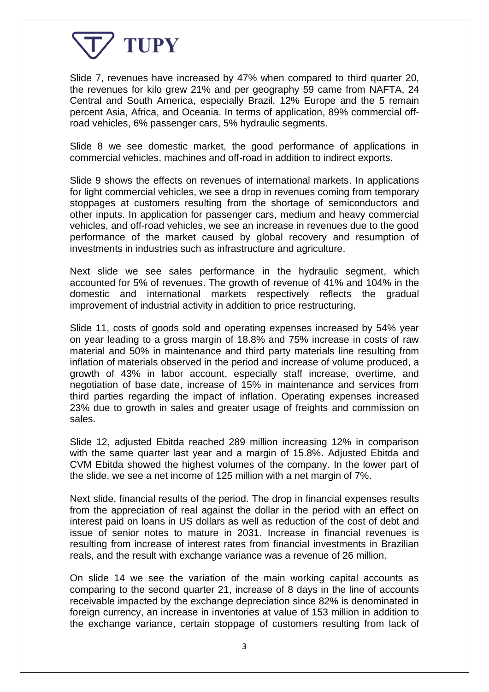

Slide 7, revenues have increased by 47% when compared to third quarter 20, the revenues for kilo grew 21% and per geography 59 came from NAFTA, 24 Central and South America, especially Brazil, 12% Europe and the 5 remain percent Asia, Africa, and Oceania. In terms of application, 89% commercial offroad vehicles, 6% passenger cars, 5% hydraulic segments.

Slide 8 we see domestic market, the good performance of applications in commercial vehicles, machines and off-road in addition to indirect exports.

Slide 9 shows the effects on revenues of international markets. In applications for light commercial vehicles, we see a drop in revenues coming from temporary stoppages at customers resulting from the shortage of semiconductors and other inputs. In application for passenger cars, medium and heavy commercial vehicles, and off-road vehicles, we see an increase in revenues due to the good performance of the market caused by global recovery and resumption of investments in industries such as infrastructure and agriculture.

Next slide we see sales performance in the hydraulic segment, which accounted for 5% of revenues. The growth of revenue of 41% and 104% in the domestic and international markets respectively reflects the gradual improvement of industrial activity in addition to price restructuring.

Slide 11, costs of goods sold and operating expenses increased by 54% year on year leading to a gross margin of 18.8% and 75% increase in costs of raw material and 50% in maintenance and third party materials line resulting from inflation of materials observed in the period and increase of volume produced, a growth of 43% in labor account, especially staff increase, overtime, and negotiation of base date, increase of 15% in maintenance and services from third parties regarding the impact of inflation. Operating expenses increased 23% due to growth in sales and greater usage of freights and commission on sales.

Slide 12, adjusted Ebitda reached 289 million increasing 12% in comparison with the same quarter last year and a margin of 15.8%. Adjusted Ebitda and CVM Ebitda showed the highest volumes of the company. In the lower part of the slide, we see a net income of 125 million with a net margin of 7%.

Next slide, financial results of the period. The drop in financial expenses results from the appreciation of real against the dollar in the period with an effect on interest paid on loans in US dollars as well as reduction of the cost of debt and issue of senior notes to mature in 2031. Increase in financial revenues is resulting from increase of interest rates from financial investments in Brazilian reals, and the result with exchange variance was a revenue of 26 million.

On slide 14 we see the variation of the main working capital accounts as comparing to the second quarter 21, increase of 8 days in the line of accounts receivable impacted by the exchange depreciation since 82% is denominated in foreign currency, an increase in inventories at value of 153 million in addition to the exchange variance, certain stoppage of customers resulting from lack of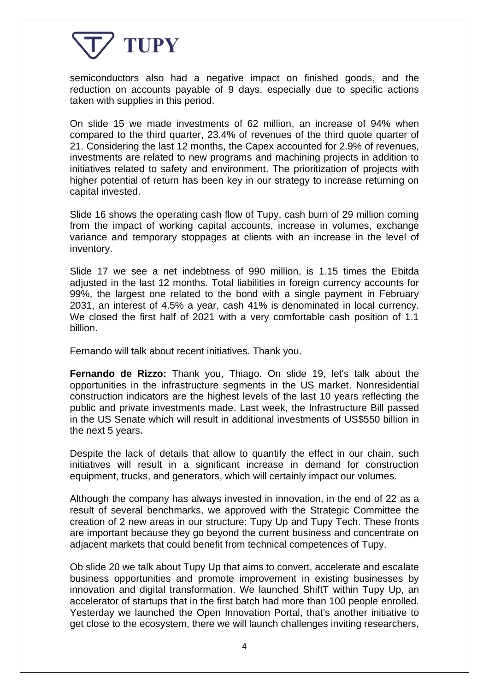

semiconductors also had a negative impact on finished goods, and the reduction on accounts payable of 9 days, especially due to specific actions taken with supplies in this period.

On slide 15 we made investments of 62 million, an increase of 94% when compared to the third quarter, 23.4% of revenues of the third quote quarter of 21. Considering the last 12 months, the Capex accounted for 2.9% of revenues, investments are related to new programs and machining projects in addition to initiatives related to safety and environment. The prioritization of projects with higher potential of return has been key in our strategy to increase returning on capital invested.

Slide 16 shows the operating cash flow of Tupy, cash burn of 29 million coming from the impact of working capital accounts, increase in volumes, exchange variance and temporary stoppages at clients with an increase in the level of inventory.

Slide 17 we see a net indebtness of 990 million, is 1.15 times the Ebitda adjusted in the last 12 months. Total liabilities in foreign currency accounts for 99%, the largest one related to the bond with a single payment in February 2031, an interest of 4.5% a year, cash 41% is denominated in local currency. We closed the first half of 2021 with a very comfortable cash position of 1.1 billion.

Fernando will talk about recent initiatives. Thank you.

**Fernando de Rizzo:** Thank you, Thiago. On slide 19, let's talk about the opportunities in the infrastructure segments in the US market. Nonresidential construction indicators are the highest levels of the last 10 years reflecting the public and private investments made. Last week, the Infrastructure Bill passed in the US Senate which will result in additional investments of US\$550 billion in the next 5 years.

Despite the lack of details that allow to quantify the effect in our chain, such initiatives will result in a significant increase in demand for construction equipment, trucks, and generators, which will certainly impact our volumes.

Although the company has always invested in innovation, in the end of 22 as a result of several benchmarks, we approved with the Strategic Committee the creation of 2 new areas in our structure: Tupy Up and Tupy Tech. These fronts are important because they go beyond the current business and concentrate on adjacent markets that could benefit from technical competences of Tupy.

Ob slide 20 we talk about Tupy Up that aims to convert, accelerate and escalate business opportunities and promote improvement in existing businesses by innovation and digital transformation. We launched ShiftT within Tupy Up, an accelerator of startups that in the first batch had more than 100 people enrolled. Yesterday we launched the Open Innovation Portal, that's another initiative to get close to the ecosystem, there we will launch challenges inviting researchers,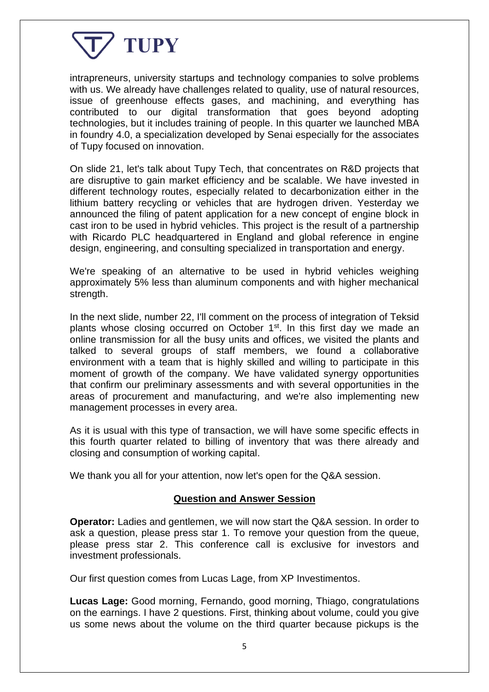

intrapreneurs, university startups and technology companies to solve problems with us. We already have challenges related to quality, use of natural resources, issue of greenhouse effects gases, and machining, and everything has contributed to our digital transformation that goes beyond adopting technologies, but it includes training of people. In this quarter we launched MBA in foundry 4.0, a specialization developed by Senai especially for the associates of Tupy focused on innovation.

On slide 21, let's talk about Tupy Tech, that concentrates on R&D projects that are disruptive to gain market efficiency and be scalable. We have invested in different technology routes, especially related to decarbonization either in the lithium battery recycling or vehicles that are hydrogen driven. Yesterday we announced the filing of patent application for a new concept of engine block in cast iron to be used in hybrid vehicles. This project is the result of a partnership with Ricardo PLC headquartered in England and global reference in engine design, engineering, and consulting specialized in transportation and energy.

We're speaking of an alternative to be used in hybrid vehicles weighing approximately 5% less than aluminum components and with higher mechanical strength.

In the next slide, number 22, I'll comment on the process of integration of Teksid plants whose closing occurred on October 1<sup>st</sup>. In this first day we made an online transmission for all the busy units and offices, we visited the plants and talked to several groups of staff members, we found a collaborative environment with a team that is highly skilled and willing to participate in this moment of growth of the company. We have validated synergy opportunities that confirm our preliminary assessments and with several opportunities in the areas of procurement and manufacturing, and we're also implementing new management processes in every area.

As it is usual with this type of transaction, we will have some specific effects in this fourth quarter related to billing of inventory that was there already and closing and consumption of working capital.

We thank you all for your attention, now let's open for the Q&A session.

## **Question and Answer Session**

**Operator:** Ladies and gentlemen, we will now start the Q&A session. In order to ask a question, please press star 1. To remove your question from the queue, please press star 2. This conference call is exclusive for investors and investment professionals.

Our first question comes from Lucas Lage, from XP Investimentos.

**Lucas Lage:** Good morning, Fernando, good morning, Thiago, congratulations on the earnings. I have 2 questions. First, thinking about volume, could you give us some news about the volume on the third quarter because pickups is the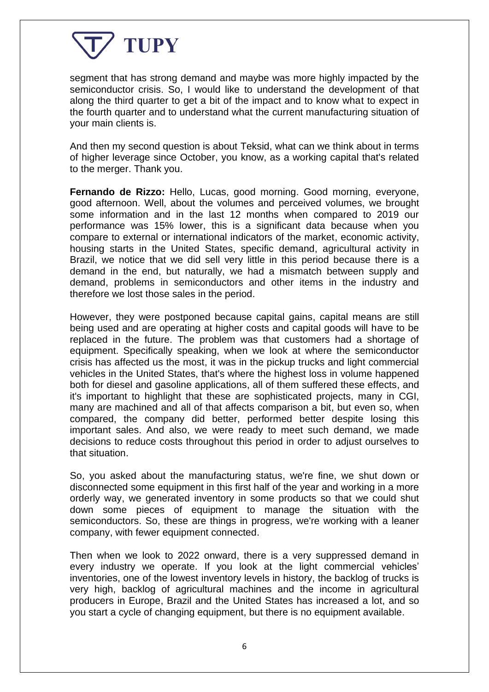

segment that has strong demand and maybe was more highly impacted by the semiconductor crisis. So, I would like to understand the development of that along the third quarter to get a bit of the impact and to know what to expect in the fourth quarter and to understand what the current manufacturing situation of your main clients is.

And then my second question is about Teksid, what can we think about in terms of higher leverage since October, you know, as a working capital that's related to the merger. Thank you.

**Fernando de Rizzo:** Hello, Lucas, good morning. Good morning, everyone, good afternoon. Well, about the volumes and perceived volumes, we brought some information and in the last 12 months when compared to 2019 our performance was 15% lower, this is a significant data because when you compare to external or international indicators of the market, economic activity, housing starts in the United States, specific demand, agricultural activity in Brazil, we notice that we did sell very little in this period because there is a demand in the end, but naturally, we had a mismatch between supply and demand, problems in semiconductors and other items in the industry and therefore we lost those sales in the period.

However, they were postponed because capital gains, capital means are still being used and are operating at higher costs and capital goods will have to be replaced in the future. The problem was that customers had a shortage of equipment. Specifically speaking, when we look at where the semiconductor crisis has affected us the most, it was in the pickup trucks and light commercial vehicles in the United States, that's where the highest loss in volume happened both for diesel and gasoline applications, all of them suffered these effects, and it's important to highlight that these are sophisticated projects, many in CGI, many are machined and all of that affects comparison a bit, but even so, when compared, the company did better, performed better despite losing this important sales. And also, we were ready to meet such demand, we made decisions to reduce costs throughout this period in order to adjust ourselves to that situation.

So, you asked about the manufacturing status, we're fine, we shut down or disconnected some equipment in this first half of the year and working in a more orderly way, we generated inventory in some products so that we could shut down some pieces of equipment to manage the situation with the semiconductors. So, these are things in progress, we're working with a leaner company, with fewer equipment connected.

Then when we look to 2022 onward, there is a very suppressed demand in every industry we operate. If you look at the light commercial vehicles' inventories, one of the lowest inventory levels in history, the backlog of trucks is very high, backlog of agricultural machines and the income in agricultural producers in Europe, Brazil and the United States has increased a lot, and so you start a cycle of changing equipment, but there is no equipment available.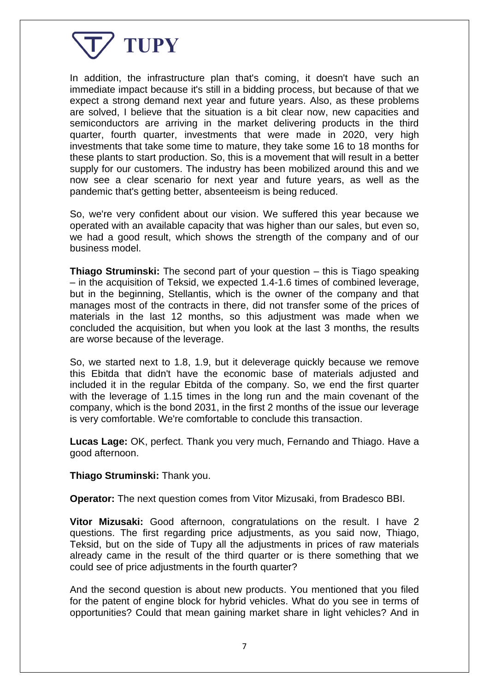

In addition, the infrastructure plan that's coming, it doesn't have such an immediate impact because it's still in a bidding process, but because of that we expect a strong demand next year and future years. Also, as these problems are solved, I believe that the situation is a bit clear now, new capacities and semiconductors are arriving in the market delivering products in the third quarter, fourth quarter, investments that were made in 2020, very high investments that take some time to mature, they take some 16 to 18 months for these plants to start production. So, this is a movement that will result in a better supply for our customers. The industry has been mobilized around this and we now see a clear scenario for next year and future years, as well as the pandemic that's getting better, absenteeism is being reduced.

So, we're very confident about our vision. We suffered this year because we operated with an available capacity that was higher than our sales, but even so, we had a good result, which shows the strength of the company and of our business model.

**Thiago Struminski:** The second part of your question – this is Tiago speaking – in the acquisition of Teksid, we expected 1.4-1.6 times of combined leverage, but in the beginning, Stellantis, which is the owner of the company and that manages most of the contracts in there, did not transfer some of the prices of materials in the last 12 months, so this adjustment was made when we concluded the acquisition, but when you look at the last 3 months, the results are worse because of the leverage.

So, we started next to 1.8, 1.9, but it deleverage quickly because we remove this Ebitda that didn't have the economic base of materials adjusted and included it in the regular Ebitda of the company. So, we end the first quarter with the leverage of 1.15 times in the long run and the main covenant of the company, which is the bond 2031, in the first 2 months of the issue our leverage is very comfortable. We're comfortable to conclude this transaction.

**Lucas Lage:** OK, perfect. Thank you very much, Fernando and Thiago. Have a good afternoon.

**Thiago Struminski:** Thank you.

**Operator:** The next question comes from Vitor Mizusaki, from Bradesco BBI.

**Vitor Mizusaki:** Good afternoon, congratulations on the result. I have 2 questions. The first regarding price adjustments, as you said now, Thiago, Teksid, but on the side of Tupy all the adjustments in prices of raw materials already came in the result of the third quarter or is there something that we could see of price adjustments in the fourth quarter?

And the second question is about new products. You mentioned that you filed for the patent of engine block for hybrid vehicles. What do you see in terms of opportunities? Could that mean gaining market share in light vehicles? And in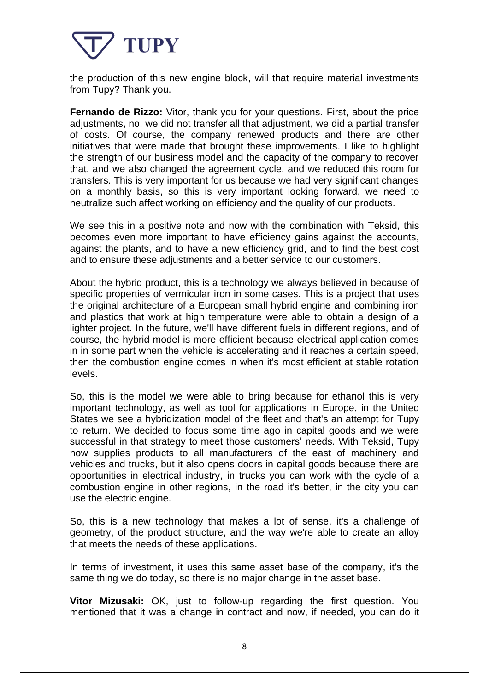## TUPY

the production of this new engine block, will that require material investments from Tupy? Thank you.

**Fernando de Rizzo:** Vitor, thank you for your questions. First, about the price adjustments, no, we did not transfer all that adjustment, we did a partial transfer of costs. Of course, the company renewed products and there are other initiatives that were made that brought these improvements. I like to highlight the strength of our business model and the capacity of the company to recover that, and we also changed the agreement cycle, and we reduced this room for transfers. This is very important for us because we had very significant changes on a monthly basis, so this is very important looking forward, we need to neutralize such affect working on efficiency and the quality of our products.

We see this in a positive note and now with the combination with Teksid, this becomes even more important to have efficiency gains against the accounts, against the plants, and to have a new efficiency grid, and to find the best cost and to ensure these adjustments and a better service to our customers.

About the hybrid product, this is a technology we always believed in because of specific properties of vermicular iron in some cases. This is a project that uses the original architecture of a European small hybrid engine and combining iron and plastics that work at high temperature were able to obtain a design of a lighter project. In the future, we'll have different fuels in different regions, and of course, the hybrid model is more efficient because electrical application comes in in some part when the vehicle is accelerating and it reaches a certain speed, then the combustion engine comes in when it's most efficient at stable rotation levels.

So, this is the model we were able to bring because for ethanol this is very important technology, as well as tool for applications in Europe, in the United States we see a hybridization model of the fleet and that's an attempt for Tupy to return. We decided to focus some time ago in capital goods and we were successful in that strategy to meet those customers' needs. With Teksid, Tupy now supplies products to all manufacturers of the east of machinery and vehicles and trucks, but it also opens doors in capital goods because there are opportunities in electrical industry, in trucks you can work with the cycle of a combustion engine in other regions, in the road it's better, in the city you can use the electric engine.

So, this is a new technology that makes a lot of sense, it's a challenge of geometry, of the product structure, and the way we're able to create an alloy that meets the needs of these applications.

In terms of investment, it uses this same asset base of the company, it's the same thing we do today, so there is no major change in the asset base.

**Vitor Mizusaki:** OK, just to follow-up regarding the first question. You mentioned that it was a change in contract and now, if needed, you can do it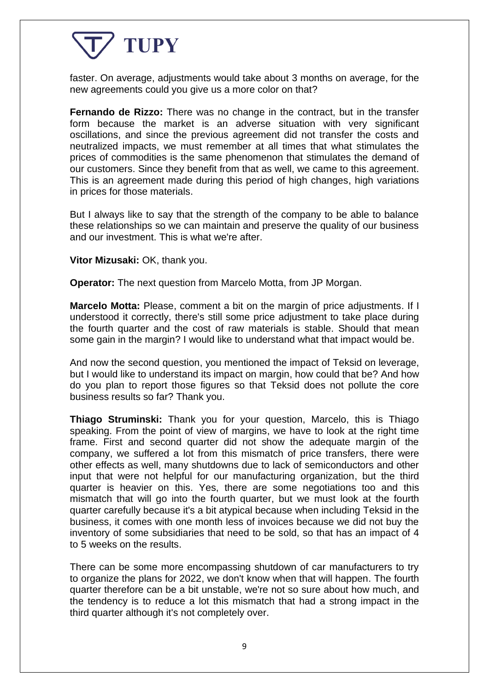## TUPY

faster. On average, adjustments would take about 3 months on average, for the new agreements could you give us a more color on that?

**Fernando de Rizzo:** There was no change in the contract, but in the transfer form because the market is an adverse situation with very significant oscillations, and since the previous agreement did not transfer the costs and neutralized impacts, we must remember at all times that what stimulates the prices of commodities is the same phenomenon that stimulates the demand of our customers. Since they benefit from that as well, we came to this agreement. This is an agreement made during this period of high changes, high variations in prices for those materials.

But I always like to say that the strength of the company to be able to balance these relationships so we can maintain and preserve the quality of our business and our investment. This is what we're after.

**Vitor Mizusaki:** OK, thank you.

**Operator:** The next question from Marcelo Motta, from JP Morgan.

**Marcelo Motta:** Please, comment a bit on the margin of price adjustments. If I understood it correctly, there's still some price adjustment to take place during the fourth quarter and the cost of raw materials is stable. Should that mean some gain in the margin? I would like to understand what that impact would be.

And now the second question, you mentioned the impact of Teksid on leverage, but I would like to understand its impact on margin, how could that be? And how do you plan to report those figures so that Teksid does not pollute the core business results so far? Thank you.

**Thiago Struminski:** Thank you for your question, Marcelo, this is Thiago speaking. From the point of view of margins, we have to look at the right time frame. First and second quarter did not show the adequate margin of the company, we suffered a lot from this mismatch of price transfers, there were other effects as well, many shutdowns due to lack of semiconductors and other input that were not helpful for our manufacturing organization, but the third quarter is heavier on this. Yes, there are some negotiations too and this mismatch that will go into the fourth quarter, but we must look at the fourth quarter carefully because it's a bit atypical because when including Teksid in the business, it comes with one month less of invoices because we did not buy the inventory of some subsidiaries that need to be sold, so that has an impact of 4 to 5 weeks on the results.

There can be some more encompassing shutdown of car manufacturers to try to organize the plans for 2022, we don't know when that will happen. The fourth quarter therefore can be a bit unstable, we're not so sure about how much, and the tendency is to reduce a lot this mismatch that had a strong impact in the third quarter although it's not completely over.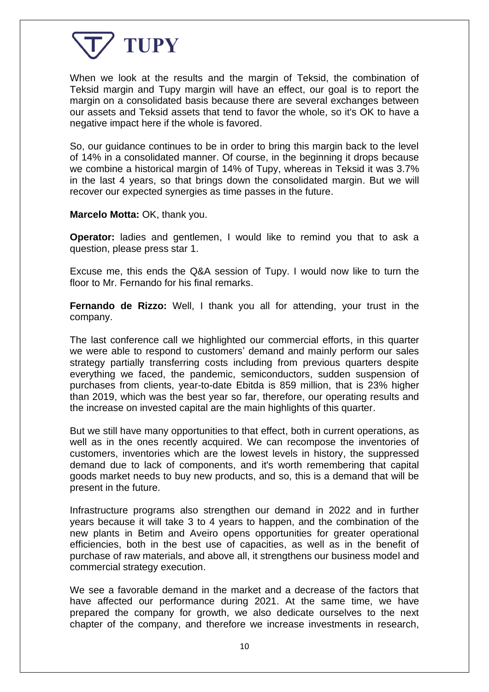

When we look at the results and the margin of Teksid, the combination of Teksid margin and Tupy margin will have an effect, our goal is to report the margin on a consolidated basis because there are several exchanges between our assets and Teksid assets that tend to favor the whole, so it's OK to have a negative impact here if the whole is favored.

So, our guidance continues to be in order to bring this margin back to the level of 14% in a consolidated manner. Of course, in the beginning it drops because we combine a historical margin of 14% of Tupy, whereas in Teksid it was 3.7% in the last 4 years, so that brings down the consolidated margin. But we will recover our expected synergies as time passes in the future.

**Marcelo Motta:** OK, thank you.

**Operator:** ladies and gentlemen, I would like to remind you that to ask a question, please press star 1.

Excuse me, this ends the Q&A session of Tupy. I would now like to turn the floor to Mr. Fernando for his final remarks.

**Fernando de Rizzo:** Well, I thank you all for attending, your trust in the company.

The last conference call we highlighted our commercial efforts, in this quarter we were able to respond to customers' demand and mainly perform our sales strategy partially transferring costs including from previous quarters despite everything we faced, the pandemic, semiconductors, sudden suspension of purchases from clients, year-to-date Ebitda is 859 million, that is 23% higher than 2019, which was the best year so far, therefore, our operating results and the increase on invested capital are the main highlights of this quarter.

But we still have many opportunities to that effect, both in current operations, as well as in the ones recently acquired. We can recompose the inventories of customers, inventories which are the lowest levels in history, the suppressed demand due to lack of components, and it's worth remembering that capital goods market needs to buy new products, and so, this is a demand that will be present in the future.

Infrastructure programs also strengthen our demand in 2022 and in further years because it will take 3 to 4 years to happen, and the combination of the new plants in Betim and Aveiro opens opportunities for greater operational efficiencies, both in the best use of capacities, as well as in the benefit of purchase of raw materials, and above all, it strengthens our business model and commercial strategy execution.

We see a favorable demand in the market and a decrease of the factors that have affected our performance during 2021. At the same time, we have prepared the company for growth, we also dedicate ourselves to the next chapter of the company, and therefore we increase investments in research,